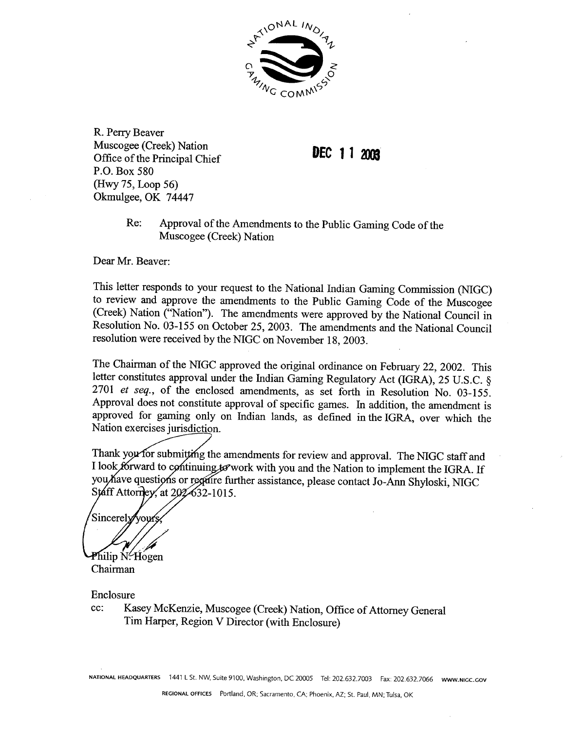

R. Perry Beaver Muscogee (Creek) Nation Office of the Principal Chief P.O. Box 580 (Hwy 75, Loop 56) Okmulgee, OK 74447

DEC 11  $\lambda$ ma

Re: Approval of the Amendments to the Public Gaming Code of the Muscogee (Creek) Nation

Dear Mr. Beaver:

This letter responds to your request to the National Indian Gaming Commission (NIGC) to review and approve the amendments to the Public Gaming Code of the Muscogee (Creek) Nation ("Nation"). The amendments were approved by the National Council in Resolution No. 03-155 on October 25, 2003. The amendments and the National Council resolution were received by the NIGC on November 18, 2003.

The Chairman of the NIGC approved the original ordinance on February 22, 2002. This letter constitutes approval under the Indian Gaming Regulatory Act (IGRA), 25 U.S.C. § 2701 et seq., of the enclosed amendments, as set forth in Resolution No. 03-155. Approval does not constitute approval of specific games. In addition, the amendment is approved for gaming only on Indian lands, as defined in the IGRA, over which the Nation exercises jurisdiction.

Thank you for submitting the amendments for review and approval. The NIGC staff and I look forward to continuing to work with you and the Nation to implement the IGRA. If you have questions or regaire further assistance, please contact Jo-Ann Shyloski, NIGC Staff Attorney, at 202632-1015.

Sincerely Philip N.Hogen

Chairman

Enclosure

cc: Kasey McKenzie, Muscogee (Creek) Nation, Office of Attorney General Tim Harper, Region V Director (with Enclosure)

NATIONAL HEADQUARTERS 1441 L St. NW, Suite 9100, Washington, DC 20005 Tel: 202.632.7003 Fax: 202.632.7066 www.NIGC.GOV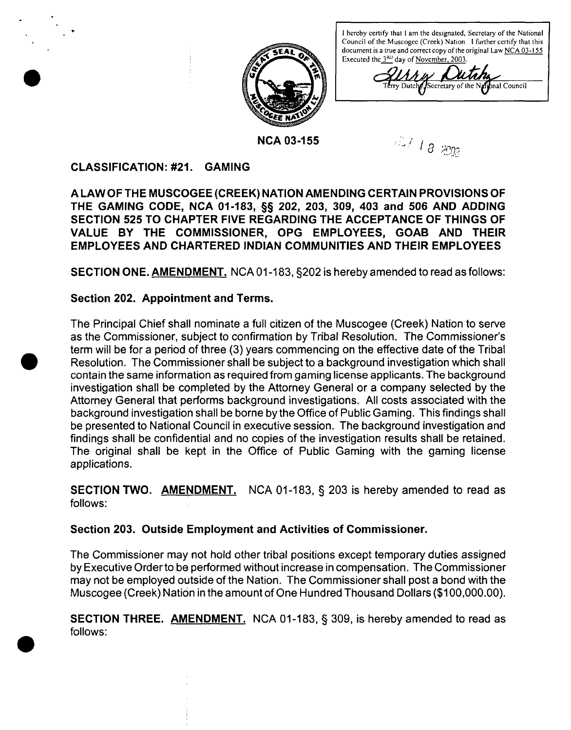

**<sup>I</sup> hcrcby certify that <sup>I</sup> am the designated, Secretary of the National Council of the Muscogce (Creek) Nation. <sup>I</sup> further certify that this document is <sup>a</sup> true and correct copy of the original Law NCA 03-I <sup>55</sup> Executed the 310) day of November, 2003**

 $\Lambda\Lambda$ ry Dutch *S*ceretary of the National Council

**NCA** 03-155 **652 652 652 662 662 66** 

## **CLASSIFICATION: #21. GAMING**

**S**

**A LAW OF THE MUSCOGEE (CREEK) NATION AMENDING CERTAIN PROVISIONS OF THE GAMING CODE, NCA 01-183, §~ 202, 203, 309, 403 and 506 AND ADDING SECTION 525 TO CHAPTER FIVE REGARDING THE ACCEPTANCE OF THINGS OF VALUE BY THE COMMISSIONER, OPG EMPLOYEES, GOAB AND THEIR EMPLOYEES AND CHARTERED INDIAN COMMUNITIES AND THEIR EMPLOYEES**

**SECTION ONE. AMENDMENT NCA 01-183, §202 is hereby amended to read as follows:**

# **Section 202. Appointment and Terms.**

**The Principal Chief shall nominate <sup>a</sup> full citizen of the Muscogee (Creek) Nation to serve as the Commissioner, subject to confirmation by Tribal Resolution. The Commissioners term will be for a period of three (3) years commencing on the effective date of the Tribal Resolution. The Commissioner shall be subject to a background investigation which shall contain the same information as required from gaming license applicants. The background investigation shall be completed by the Attorney General or a company selected by the Attorney General that performs background investigations. All costs associated with the background investigatioh shall be borne by the Office of Public Gaming. This findings shall be presented to National Council in executive session. The background investigation and findings shall be confidential and no copies of the investigation results shall be retained. The original shall be kept in the Office of Public Gaming with the gaming license applications.**

**SECTION TWO. AMENDMENT NCA 01-1 83, § <sup>203</sup> is hereby amended to read as follows:**

# **Section 203. Outside Employment and Activities of Commissioner.**

**The Commissioner may not hold other tribal positions except temporary duties assigned by Executive Orderto be performed without increase in compensation. The Commissioner may not be employed outside of the Nation. The Commissioner shall post <sup>a</sup> bond with the Muscogee (Creek) Nation in the amount of One Hundred Thousand Dollars (\$100,000.00).**

**SECTION THREE. AMENDMENT NCA 01-1 83, § 309, is hereby amended to read as follows:**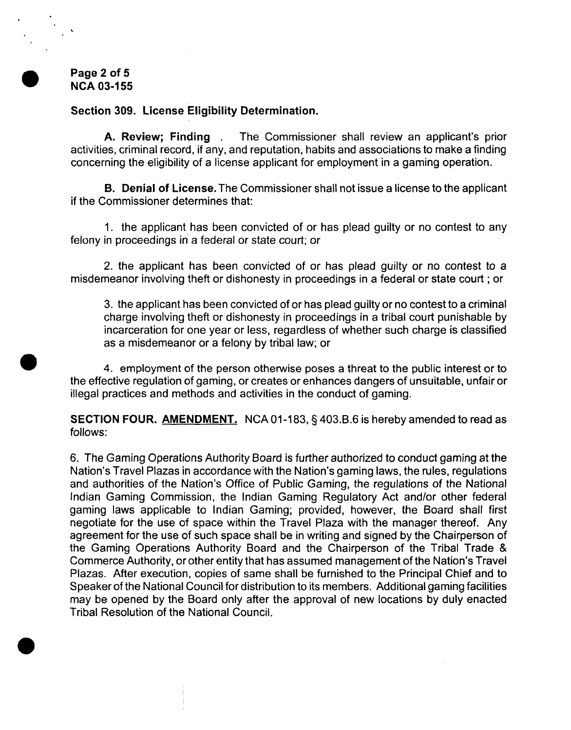**Page 2 of 5 NCA 03-1 55**

#### **Section 309. License Eligibility Determination.**

**A. Review; Finding . The Commissioner shall review an applicants prior activities, criminal record, if any, and reputation, habits and associations to make <sup>a</sup> finding concerning the eligibility of a license applicant for employment in a gaming operation.**

**B. Denial of License. The Commissioner shall not issue a license to the applicant if the Commissioner determines that:**

**1. the applicant has been convicted of or has plead guilty or no contest to any felony in proceedings in a federal or state court; or**

**2. the applicant has been convicted of or has plead guilty or no contest to a misdemeanor involving theft or dishonesty in proceedings in a federal or state court ; or**

**3. the applicant has been convicted of or has plead guilty or no contest to a criminal charge involving theft or dishonesty in proceedings in a tribal court punishable by incarceration for one year or less, regardless of whether such charge is classified as a misdemeanor or a felony by tribal law; or**

**4. employment of the person otherwise poses a threat to the public interest or to the effective regulation of gaming, or creates or enhances dangers of unsuitable, unfair or illegal practices and methods and activities in the conduct of gaming.**

**SECTION FOUR. AMENDMENT NCA 01-183, § 403.B.6 is hereby amended to read as follows:**

**6. The Gaming Operations Authority Board is further authorized to conduct gaming at the Nation's Travel Plazas in accordance with the Nation's gaming laws, the rules, regulations** and authorities of the Nation's Office of Public Gaming, the regulations of the National **Indian Gaming Commission, the Indian Gaming Regulatory Act and/or other federal gaming laws applicable to Indian Gaming; provided, however, the Board shall first negotiate for the use of space within the Travel Plaza with the manager thereof. Any agreement for the use of such space shall be in writing and signed by the Chairperson of the Gaming Operations Authority Board and the Chairperson of the Tribal Trade & Commerce** Authority, or other entity that has assumed management of the Nation's Travel **Plazas. After execution, copies of same shall be furnished to the Principal Chief and to Speaker of the National Council for distribution to its members. Additional gaming facilities may be opened by the Board only after the approval of new locations by duly enacted Tribal Resolution of the National Council.**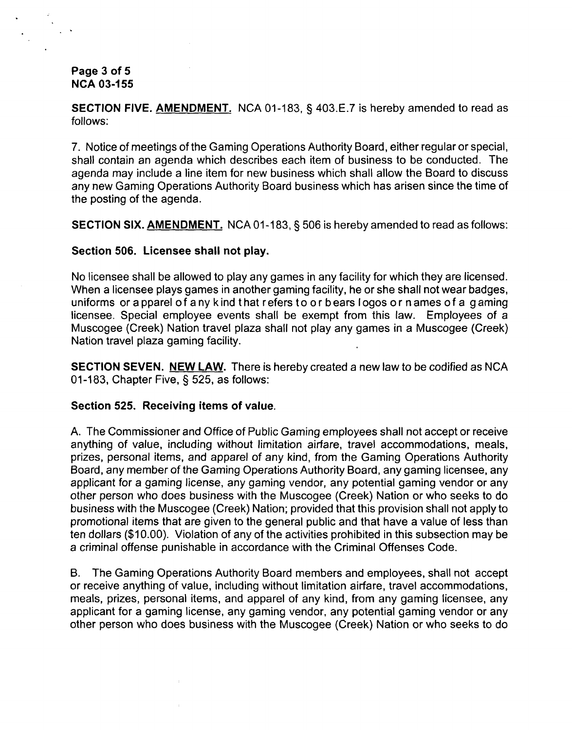**Page 3 of 5 NCA 03-1 55**

**SECTION FIVE. AMENDMENT NCA 01-183, § 403.E.7 is hereby amended to read as follows:**

**7. Notice of meetings of the Gaming Operations Authority Board, either regular or special, shall contain an agenda which describes each item of business to be conducted. The agenda may include <sup>a</sup> line item for new business which shall allow the Board to discuss any new Gaming Operations Authority Board business which has arisen since the time of the posting of the agenda.**

**SECTION SIX. AMENDMENT NCA 01-183, § <sup>506</sup> is hereby amended to read as follows:**

#### **Section 506. Licensee shall not play.**

**No licensee shall be allowed to play any games in any facility for which they are licensed. When <sup>a</sup> licensee plays games in another gaming facility, he or she shall not wear badges, uniforms orapparel ofany kind that refers to or bears logos or names ofa gaming licensee. Special employee events shall be exempt from this law. Employees of a Muscogee (Creek) Nation travel plaza shall not play any games in a Muscogee (Creek) Nation travel plaza gaming facility.**

**SECTION SEVEN. NEW LAW There is hereby created <sup>a</sup> new law to be codified as NCA 01-183, Chapter Five, § 525, as follows:**

#### **Section 525. Receiving items of value.**

**A. The Commissioner and Office of Public Gaming employees shall not accept or receive anything of value, including without limitation airfare, travel accommodations, meals, prizes, personal items, and apparel of any kind, from the Gaming Operations Authority Board, any member of the Gaming Operations Authority Board, any gaming licensee, any applicant for a gaming license, any gaming vendor, any potential gaming vendor or any other person who does business with the Muscogee (Creek) Nation or who seeks to do business with the Muscogee (Creek) Nation; provided that this provision shall not apply to promotional items that are given to the general public and that have a value of less than ten dollars (\$10.00). Violation of any of the activities prohibited in this subsection may be a criminal offense punishable in accordance with the Criminal Offenses Code.**

**B. The Gaming Operations Authority Board members and employees, shall not accept or receive anything of value, including without limitation airfare, travel accommodations, meals, prizes, personal items, and apparel of any kind, from any gaming licensee, any applicant for a gaming license, any gaming vendor, any potential gaming vendor or any other person who does business with the Muscogee (Creek) Nation or who seeks to do**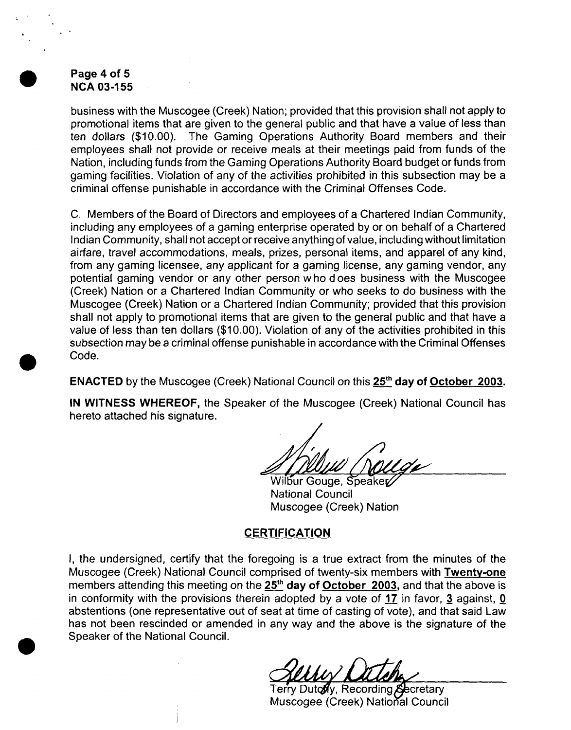## **Page 4 of 5 NCA 03-1 55**

**business with the Muscogee (Creek) Nation; provided that this provision shall not apply to promotional items that are given to the general public and that have a value of less than ten dollars (\$10.00). The Gaming Operations Authority Board members and their employees shall not provide or receive meals at their meetings paid from funds of the Nation, including funds from the Gaming Operations Authority Board budget or funds from gaming facilities. Violation of any of the activities prohibited in this subsection may be <sup>a</sup> criminal offense punishable in accordance with the Criminal Offenses Code.**

**C. Members of the Board of Directors and employees of <sup>a</sup> Chartered Indian Community, including any employees of a gaming enterprise operated by or on behalf of a Chartered Indian Community, shall not acceptor receive anything of value, including without limitation airfare, travel accommodations, meals, prizes, personal items, and apparel of any kind, from any gaming licensee, any applicant for a gaming license, any gaming vendor, any potential gaming vendor or any other person w ho <sup>d</sup> oes business with the Muscogee (Creek) Nation or <sup>a</sup> Chartered Indian Community or who seeks to do business with the Muscogee (Creek) Nation or a Chartered Indian Community; provided that this provision shall not apply to promotional items that are given to the general public and that have a value of less than ten dollars (\$10.00). Violation of any of the activities prohibited in this subsection may be a criminal offense punishable in accordance with the Criminal Offenses Code.**

**ENACTED** by the Muscogee (Creek) National Council on this 25<sup>th</sup> day of October 2003.

**IN WITNESS WHEREOF, the Speaker of the Muscogee (Creek) National Council has hereto attached his signature.**

**Wilbur Gouge, Speaker** 

**National Council Muscogee (Creek) Nation**

# **CERTIFICATION**

**I, the undersigned, certify that the foregoing is a true extract from the minutes of the Muscogee (Creek) National Council comprised of twenty-six members with Twenty-one members attending this meeting on the ~day of October <sup>2003</sup> and that the above is in conformity with the provisions therein adopted by a vote of 17 in favor, ~ against, 0 abstentions (one representative out of seat at time of casting of vote), and that said Law has not been rescinded or amended in any way and the above is the signature of the Speaker of the National Council.**

**Terry Dutody, Recording Secretary Muscogee (Creek) National Council**